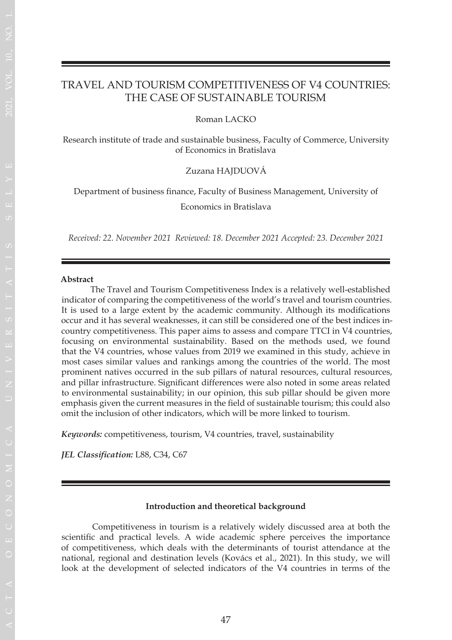# TRAVEL AND TOURISM COMPETITIVENESS OF V4 COUNTRIES: THE CASE OF SUSTAINABLE TOURISM

Roman LACKO

Research institute of trade and sustainable business, Faculty of Commerce, University of Economics in Bratislava

Zuzana HAJDUOVÁ

Department of business finance, Faculty of Business Management, University of

Economics in Bratislava

*Received: 22. November 2021 Reviewed: 18. December 2021 Accepted: 23. December 2021*

#### **Abstract**

 The Travel and Tourism Competitiveness Index is a relatively well-established indicator of comparing the competitiveness of the world's travel and tourism countries. It is used to a large extent by the academic community. Although its modifications occur and it has several weaknesses, it can still be considered one of the best indices incountry competitiveness. This paper aims to assess and compare TTCI in V4 countries, focusing on environmental sustainability. Based on the methods used, we found that the V4 countries, whose values from 2019 we examined in this study, achieve in most cases similar values and rankings among the countries of the world. The most prominent natives occurred in the sub pillars of natural resources, cultural resources, and pillar infrastructure. Significant differences were also noted in some areas related to environmental sustainability; in our opinion, this sub pillar should be given more emphasis given the current measures in the field of sustainable tourism; this could also omit the inclusion of other indicators, which will be more linked to tourism.

*Keywords:* competitiveness, tourism, V4 countries, travel, sustainability

*JEL Classification:* L88, C34, C67

### **Introduction and theoretical background**

 Competitiveness in tourism is a relatively widely discussed area at both the scientific and practical levels. A wide academic sphere perceives the importance of competitiveness, which deals with the determinants of tourist attendance at the national, regional and destination levels (Kovács et al., 2021). In this study, we will look at the development of selected indicators of the V4 countries in terms of the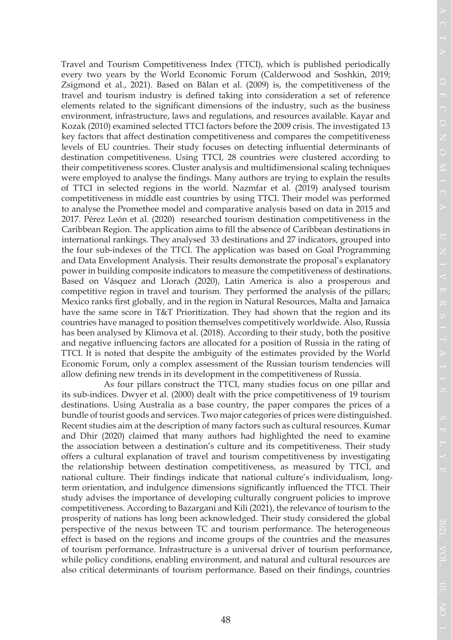Travel and Tourism Competitiveness Index (TTCI), which is published periodically every two years by the World Economic Forum (Calderwood and Soshkin, 2019; Zsigmond et al., 2021). Based on Bălan et al. (2009) is, the competitiveness of the travel and tourism industry is defined taking into consideration a set of reference elements related to the significant dimensions of the industry, such as the business environment, infrastructure, laws and regulations, and resources available. Kayar and Kozak (2010) examined selected TTCI factors before the 2009 crisis. The investigated 13 key factors that affect destination competitiveness and compares the competitiveness levels of EU countries. Their study focuses on detecting influential determinants of destination competitiveness. Using TTCI, 28 countries were clustered according to their competitiveness scores. Cluster analysis and multidimensional scaling techniques were employed to analyse the findings. Many authors are trying to explain the results of TTCI in selected regions in the world. Nazmfar et al. (2019) analysed tourism competitiveness in middle east countries by using TTCI. Their model was performed to analyse the Promethee model and comparative analysis based on data in 2015 and 2017. Pérez León et al. (2020) researched tourism destination competitiveness in the Caribbean Region. The application aims to fill the absence of Caribbean destinations in international rankings. They analysed 33 destinations and 27 indicators, grouped into the four sub-indexes of the TTCI. The application was based on Goal Programming and Data Envelopment Analysis. Their results demonstrate the proposal's explanatory power in building composite indicators to measure the competitiveness of destinations. Based on Vásquez and Llorach (2020), Latin America is also a prosperous and competitive region in travel and tourism. They performed the analysis of the pillars; Mexico ranks first globally, and in the region in Natural Resources, Malta and Jamaica have the same score in T&T Prioritization. They had shown that the region and its countries have managed to position themselves competitively worldwide. Also, Russia has been analysed by Klimova et al. (2018). According to their study, both the positive and negative influencing factors are allocated for a position of Russia in the rating of TTCI. It is noted that despite the ambiguity of the estimates provided by the World Economic Forum, only a complex assessment of the Russian tourism tendencies will allow defining new trends in its development in the competitiveness of Russia.

 As four pillars construct the TTCI, many studies focus on one pillar and its sub-indices. Dwyer et al. (2000) dealt with the price competitiveness of 19 tourism destinations. Using Australia as a base country, the paper compares the prices of a bundle of tourist goods and services. Two major categories of prices were distinguished. Recent studies aim at the description of many factors such as cultural resources. Kumar and Dhir (2020) claimed that many authors had highlighted the need to examine the association between a destination's culture and its competitiveness. Their study offers a cultural explanation of travel and tourism competitiveness by investigating the relationship between destination competitiveness, as measured by TTCI, and national culture. Their findings indicate that national culture's individualism, longterm orientation, and indulgence dimensions significantly influenced the TTCI. Their study advises the importance of developing culturally congruent policies to improve competitiveness. According to Bazargani and Kili (2021), the relevance of tourism to the prosperity of nations has long been acknowledged. Their study considered the global perspective of the nexus between TC and tourism performance. The heterogeneous effect is based on the regions and income groups of the countries and the measures of tourism performance. Infrastructure is a universal driver of tourism performance, while policy conditions, enabling environment, and natural and cultural resources are also critical determinants of tourism performance. Based on their findings, countries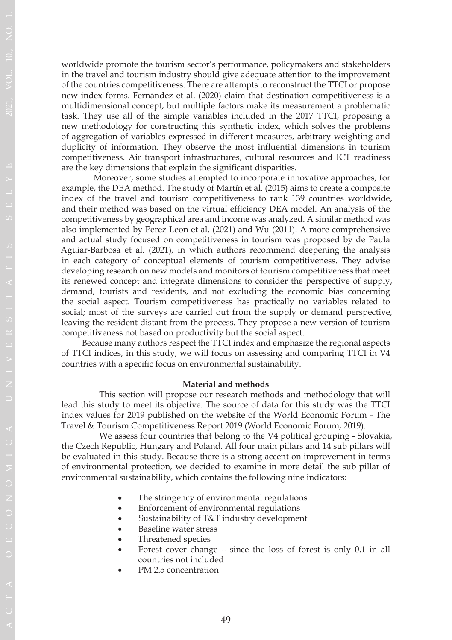worldwide promote the tourism sector's performance, policymakers and stakeholders in the travel and tourism industry should give adequate attention to the improvement of the countries competitiveness. There are attempts to reconstruct the TTCI or propose new index forms. Fernández et al. (2020) claim that destination competitiveness is a multidimensional concept, but multiple factors make its measurement a problematic task. They use all of the simple variables included in the 2017 TTCI, proposing a new methodology for constructing this synthetic index, which solves the problems of aggregation of variables expressed in different measures, arbitrary weighting and duplicity of information. They observe the most influential dimensions in tourism competitiveness. Air transport infrastructures, cultural resources and ICT readiness are the key dimensions that explain the significant disparities.

 Moreover, some studies attempted to incorporate innovative approaches, for example, the DEA method. The study of Martín et al. (2015) aims to create a composite index of the travel and tourism competitiveness to rank 139 countries worldwide, and their method was based on the virtual efficiency DEA model. An analysis of the competitiveness by geographical area and income was analyzed. A similar method was also implemented by Perez Leon et al. (2021) and Wu (2011). A more comprehensive and actual study focused on competitiveness in tourism was proposed by de Paula Aguiar-Barbosa et al. (2021), in which authors recommend deepening the analysis in each category of conceptual elements of tourism competitiveness. They advise developing research on new models and monitors of tourism competitiveness that meet its renewed concept and integrate dimensions to consider the perspective of supply, demand, tourists and residents, and not excluding the economic bias concerning the social aspect. Tourism competitiveness has practically no variables related to social; most of the surveys are carried out from the supply or demand perspective, leaving the resident distant from the process. They propose a new version of tourism competitiveness not based on productivity but the social aspect.

 Because many authors respect the TTCI index and emphasize the regional aspects of TTCI indices, in this study, we will focus on assessing and comparing TTCI in V4 countries with a specific focus on environmental sustainability.

#### **Material and methods**

This section will propose our research methods and methodology that will lead this study to meet its objective. The source of data for this study was the TTCI index values for 2019 published on the website of the World Economic Forum - The Travel & Tourism Competitiveness Report 2019 (World Economic Forum, 2019).

We assess four countries that belong to the V4 political grouping - Slovakia, the Czech Republic, Hungary and Poland. All four main pillars and 14 sub pillars will be evaluated in this study. Because there is a strong accent on improvement in terms of environmental protection, we decided to examine in more detail the sub pillar of environmental sustainability, which contains the following nine indicators:

- The stringency of environmental regulations
- Enforcement of environmental regulations
- Sustainability of T&T industry development
- Baseline water stress
- Threatened species

O

O

OM

- Forest cover change since the loss of forest is only 0.1 in all countries not included
- PM 2.5 concentration

49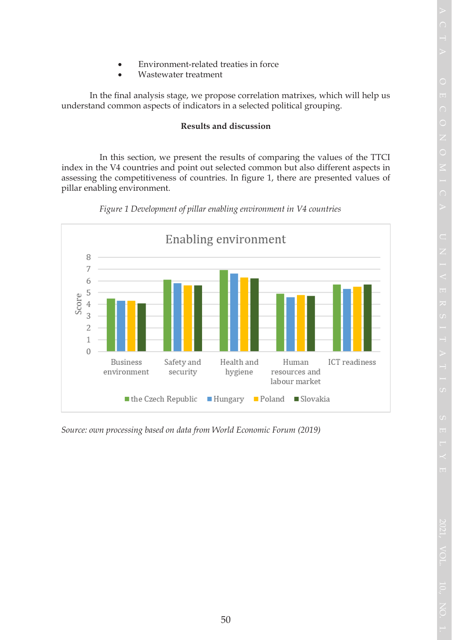- O
- 
- Environment-related treaties in force
- Wastewater treatment

 In the final analysis stage, we propose correlation matrixes, which will help us understand common aspects of indicators in a selected political grouping.

# **Results and discussion**

In this section, we present the results of comparing the values of the TTCI index in the V4 countries and point out selected common but also different aspects in assessing the competitiveness of countries. In figure 1, there are presented values of pillar enabling environment.





*Source: own processing based on data from World Economic Forum (2019)*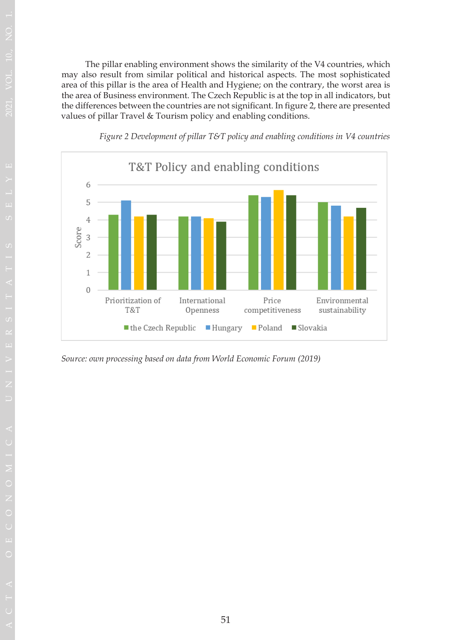The pillar enabling environment shows the similarity of the V4 countries, which may also result from similar political and historical aspects. The most sophisticated area of this pillar is the area of Health and Hygiene; on the contrary, the worst area is the area of Business environment. The Czech Republic is at the top in all indicators, but the differences between the countries are not significant. In figure 2, there are presented values of pillar Travel & Tourism policy and enabling conditions.



*Figure 2 Development of pillar T&T policy and enabling conditions in V4 countries*

*Source: own processing based on data from World Economic Forum (2019)*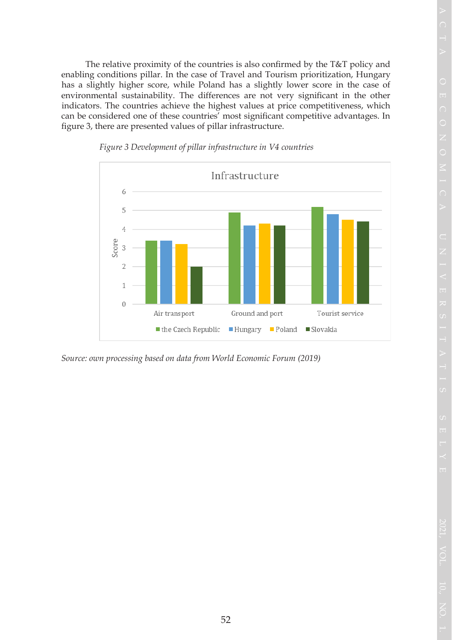The relative proximity of the countries is also confirmed by the T&T policy and enabling conditions pillar. In the case of Travel and Tourism prioritization, Hungary has a slightly higher score, while Poland has a slightly lower score in the case of environmental sustainability. The differences are not very significant in the other indicators. The countries achieve the highest values at price competitiveness, which can be considered one of these countries' most significant competitive advantages. In figure 3, there are presented values of pillar infrastructure.



*Figure 3 Development of pillar infrastructure in V4 countries*

*Source: own processing based on data from World Economic Forum (2019)*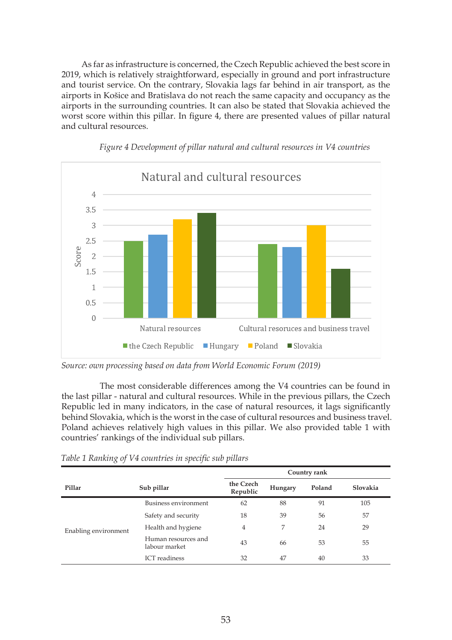As far as infrastructure is concerned, the Czech Republic achieved the best score in 2019, which is relatively straightforward, especially in ground and port infrastructure and tourist service. On the contrary, Slovakia lags far behind in air transport, as the airports in Košice and Bratislava do not reach the same capacity and occupancy as the airports in the surrounding countries. It can also be stated that Slovakia achieved the worst score within this pillar. In figure 4, there are presented values of pillar natural and cultural resources.



*Figure 4 Development of pillar natural and cultural resources in V4 countries*

The most considerable differences among the V4 countries can be found in the last pillar - natural and cultural resources. While in the previous pillars, the Czech Republic led in many indicators, in the case of natural resources, it lags significantly behind Slovakia, which is the worst in the case of cultural resources and business travel. Poland achieves relatively high values in this pillar. We also provided table 1 with countries' rankings of the individual sub pillars.

|                      |                                      | Country rank          |         |        |          |  |  |
|----------------------|--------------------------------------|-----------------------|---------|--------|----------|--|--|
| Pillar               | Sub pillar                           | the Czech<br>Republic | Hungary | Poland | Slovakia |  |  |
| Enabling environment | Business environment                 | 62                    | 88      | 91     | 105      |  |  |
|                      | Safety and security                  | 18                    | 39      | 56     | 57       |  |  |
|                      | Health and hygiene                   | 4                     | 7       | 24     | 29       |  |  |
|                      | Human resources and<br>labour market | 43                    | 66      | 53     | 55       |  |  |
|                      | <b>ICT</b> readiness                 | 32                    | 47      | 40     | 33       |  |  |

*Table 1 Ranking of V4 countries in specific sub pillars*

*Source: own processing based on data from World Economic Forum (2019)*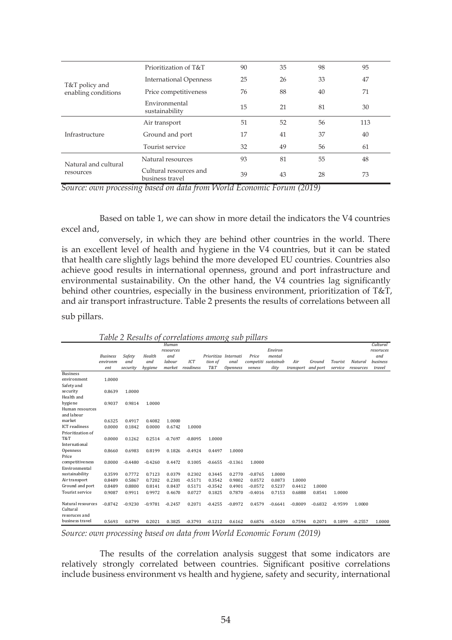|                                   | Prioritization of T&T                     | 90 | 35 | 98 | 95  |
|-----------------------------------|-------------------------------------------|----|----|----|-----|
| T&T policy and                    | <b>International Openness</b>             | 25 | 26 | 33 | 47  |
| enabling conditions               | Price competitiveness                     | 76 | 88 | 40 | 71  |
|                                   | Environmental<br>sustainability           | 15 | 21 | 81 | 30  |
|                                   | Air transport                             | 51 | 52 | 56 | 113 |
| Infrastructure                    | Ground and port                           | 17 | 41 | 37 | 40  |
|                                   | Tourist service                           | 32 | 49 | 56 | 61  |
| Natural and cultural<br>resources | Natural resources                         | 93 | 81 | 55 | 48  |
|                                   | Cultural resources and<br>business travel | 39 | 43 | 28 | 73  |

*Source: own processing based on data from World Economic Forum (2019)*

Based on table 1, we can show in more detail the indicators the V4 countries excel and,

conversely, in which they are behind other countries in the world. There is an excellent level of health and hygiene in the V4 countries, but it can be stated that health care slightly lags behind the more developed EU countries. Countries also achieve good results in international openness, ground and port infrastructure and environmental sustainability. On the other hand, the V4 countries lag significantly behind other countries, especially in the business environment, prioritization of T&T, and air transport infrastructure. Table 2 presents the results of correlations between all

sub pillars.

|                        |                 |           |           | Human     |           |                      |                 |                     |           |           |           |           |           | Cultural  |
|------------------------|-----------------|-----------|-----------|-----------|-----------|----------------------|-----------------|---------------------|-----------|-----------|-----------|-----------|-----------|-----------|
|                        |                 |           |           | resources |           |                      |                 |                     | Environ   |           |           |           |           | resoruces |
|                        | <b>Business</b> | Safety    | Health    | and       |           | Prioritiza Internati |                 | Price               | mental    |           |           |           |           | and       |
|                        | environm        | and       | and       | labour    | ICT       | tion of              | onal            | competiti sustainab |           | Air       | Ground    | Tourist   | Natural   | business  |
|                        | ent             | security  | hygiene   | market    | readiness | T&T                  | <b>Openness</b> | veness              | ility     | transport | and port  | service   | resources | travel    |
| <b>Business</b>        |                 |           |           |           |           |                      |                 |                     |           |           |           |           |           |           |
| environment            | 1.0000          |           |           |           |           |                      |                 |                     |           |           |           |           |           |           |
| Safety and             |                 |           |           |           |           |                      |                 |                     |           |           |           |           |           |           |
| security               | 0.8639          | 1.0000    |           |           |           |                      |                 |                     |           |           |           |           |           |           |
| Health and             |                 |           |           |           |           |                      |                 |                     |           |           |           |           |           |           |
| hygiene                | 0.9037          | 0.9814    | 1.0000    |           |           |                      |                 |                     |           |           |           |           |           |           |
| Human resources        |                 |           |           |           |           |                      |                 |                     |           |           |           |           |           |           |
| and labour             |                 |           |           |           |           |                      |                 |                     |           |           |           |           |           |           |
| market                 | 0.6325          | 0.4917    | 0.4082    | 1.0000    |           |                      |                 |                     |           |           |           |           |           |           |
| <b>ICT</b> readiness   | 0.0000          | 0.1842    | 0.0000    | 0.6742    | 1.0000    |                      |                 |                     |           |           |           |           |           |           |
| Prioritization of      |                 |           |           |           |           |                      |                 |                     |           |           |           |           |           |           |
| T&T                    | 0.0000          | 0.1262    | 0.2514    | $-0.7697$ | $-0.8095$ | 1.0000               |                 |                     |           |           |           |           |           |           |
| International          |                 |           |           |           |           |                      |                 |                     |           |           |           |           |           |           |
| Openness               | 0.8660          | 0.6983    | 0.8199    | 0.1826    | $-0.4924$ | 0.4497               | 1.0000          |                     |           |           |           |           |           |           |
| Price                  |                 |           |           |           |           |                      |                 |                     |           |           |           |           |           |           |
| competitiveness        | 0.0000          | $-0.4480$ | $-0.4260$ | 0.4472    | 0.1005    | $-0.6655$            | $-0.1361$       | 1.0000              |           |           |           |           |           |           |
| Environmental          |                 |           |           |           |           |                      |                 |                     |           |           |           |           |           |           |
| sustainability         | 0.3599          | 0.7772    | 0.7123    | 0.0379    | 0.2302    | 0.3445               | 0.2770          | $-0.8765$           | 1.0000    |           |           |           |           |           |
| Air transport          | 0.8489          | 0.5867    | 0.7202    | 0.2301    | $-0.5171$ | 0.3542               | 0.9802          | 0.0572              | 0.0873    | 1.0000    |           |           |           |           |
| Ground and port        | 0.8489          | 0.8800    | 0.8141    | 0.8437    | 0.5171    | $-0.3542$            | 0.4901          | $-0.0572$           | 0.5237    | 0.4412    | 1.0000    |           |           |           |
| <b>Tourist service</b> | 0.9087          | 0.9911    | 0.9972    | 0.4670    | 0.0727    | 0.1825               | 0.7870          | $-0.4016$           | 0.7153    | 0.6888    | 0.8541    | 1.0000    |           |           |
|                        |                 |           |           |           |           |                      |                 |                     |           |           |           |           |           |           |
| Natural resources      | $-0.8742$       | $-0.9230$ | $-0.9781$ | $-0.2457$ | 0.2071    | $-0.4255$            | $-0.8972$       | 0.4579              | $-0.6641$ | $-0.8009$ | $-0.6832$ | $-0.9599$ | 1.0000    |           |
| Cultural               |                 |           |           |           |           |                      |                 |                     |           |           |           |           |           |           |
| resoruces and          |                 |           |           |           |           |                      |                 |                     |           |           |           |           |           |           |
| business travel        | 0.5693          | 0.0799    | 0.2021    | 0.3825    | $-0.3793$ | $-0.1212$            | 0.6162          | 0.6876              | $-0.5420$ | 0.7594    | 0.2071    | 0.1899    | $-0.2557$ | 1.0000    |
|                        |                 |           |           |           |           |                      |                 |                     |           |           |           |           |           |           |

*Table 2 Results of correlations among sub pillars*

*Source: own processing based on data from World Economic Forum (2019)*

The results of the correlation analysis suggest that some indicators are relatively strongly correlated between countries. Significant positive correlations include business environment vs health and hygiene, safety and security, international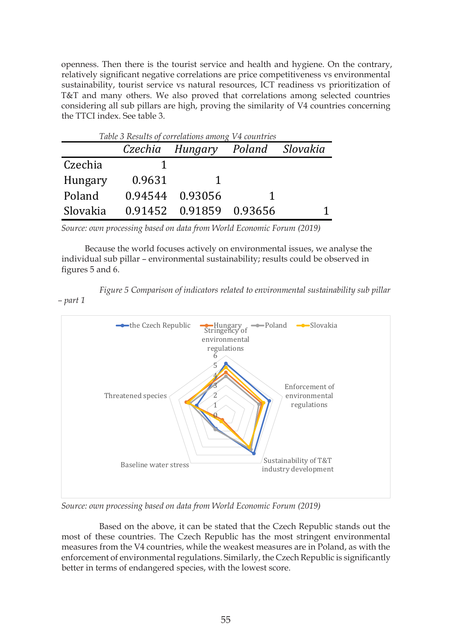openness. Then there is the tourist service and health and hygiene. On the contrary, relatively significant negative correlations are price competitiveness vs environmental sustainability, tourist service vs natural resources, ICT readiness vs prioritization of T&T and many others. We also proved that correlations among selected countries considering all sub pillars are high, proving the similarity of V4 countries concerning the TTCI index. See table 3.

| Table 3 Results of correlations among V4 countries |        |                                 |   |  |  |  |  |  |
|----------------------------------------------------|--------|---------------------------------|---|--|--|--|--|--|
|                                                    |        | Czechia Hungary Poland Slovakia |   |  |  |  |  |  |
| Czechia                                            |        |                                 |   |  |  |  |  |  |
| Hungary                                            | 0.9631 |                                 |   |  |  |  |  |  |
| Poland                                             |        | 0.94544 0.93056                 | 1 |  |  |  |  |  |
| Slovakia                                           |        | 0.91452 0.91859 0.93656         |   |  |  |  |  |  |

*Source: own processing based on data from World Economic Forum (2019)*

*– part 1*

 Because the world focuses actively on environmental issues, we analyse the individual sub pillar – environmental sustainability; results could be observed in figures 5 and 6.

*Figure 5 Comparison of indicators related to environmental sustainability sub pillar* 



*Source: own processing based on data from World Economic Forum (2019)*

 Based on the above, it can be stated that the Czech Republic stands out the most of these countries. The Czech Republic has the most stringent environmental measures from the V4 countries, while the weakest measures are in Poland, as with the enforcement of environmental regulations. Similarly, the Czech Republic is significantly better in terms of endangered species, with the lowest score.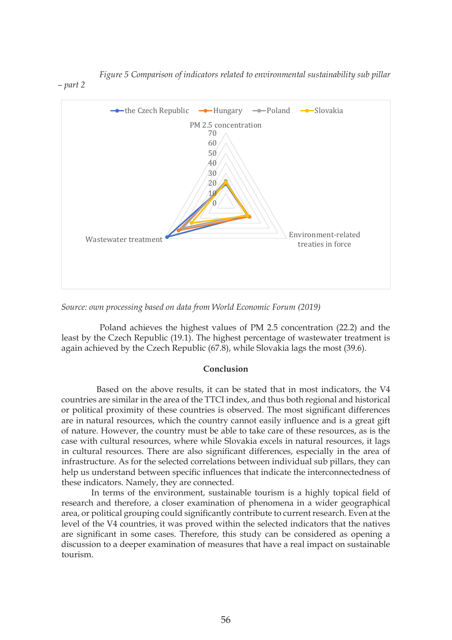

*Figure 5 Comparison of indicators related to environmental sustainability sub pillar* 

*Source: own processing based on data from World Economic Forum (2019)*

Poland achieves the highest values of PM 2.5 concentration (22.2) and the least by the Czech Republic (19.1). The highest percentage of wastewater treatment is again achieved by the Czech Republic (67.8), while Slovakia lags the most (39.6).

### **Conclusion**

 Based on the above results, it can be stated that in most indicators, the V4 countries are similar in the area of the TTCI index, and thus both regional and historical or political proximity of these countries is observed. The most significant differences are in natural resources, which the country cannot easily influence and is a great gift of nature. However, the country must be able to take care of these resources, as is the case with cultural resources, where while Slovakia excels in natural resources, it lags in cultural resources. There are also significant differences, especially in the area of infrastructure. As for the selected correlations between individual sub pillars, they can help us understand between specific influences that indicate the interconnectedness of these indicators. Namely, they are connected.

 In terms of the environment, sustainable tourism is a highly topical field of research and therefore, a closer examination of phenomena in a wider geographical area, or political grouping could significantly contribute to current research. Even at the level of the V4 countries, it was proved within the selected indicators that the natives are significant in some cases. Therefore, this study can be considered as opening a discussion to a deeper examination of measures that have a real impact on sustainable tourism.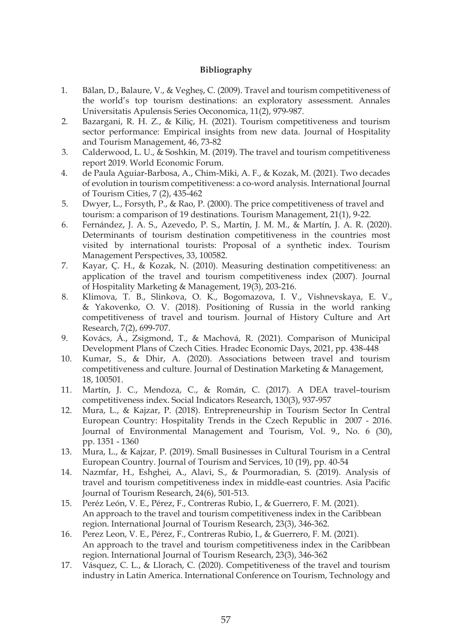## **Bibliography**

- 1. Bălan, D., Balaure, V., & Vegheş, C. (2009). Travel and tourism competitiveness of the world's top tourism destinations: an exploratory assessment. Annales Universitatis Apulensis Series Oeconomica, 11(2), 979-987.
- 2. Bazargani, R. H. Z., & Kiliç, H. (2021). Tourism competitiveness and tourism sector performance: Empirical insights from new data. Journal of Hospitality and Tourism Management, 46, 73-82
- 3. Calderwood, L. U., & Soshkin, M. (2019). The travel and tourism competitiveness report 2019. World Economic Forum.
- 4. de Paula Aguiar-Barbosa, A., Chim-Miki, A. F., & Kozak, M. (2021). Two decades of evolution in tourism competitiveness: a co-word analysis. International Journal of Tourism Cities, 7 (2), 435-462
- 5. Dwyer, L., Forsyth, P., & Rao, P. (2000). The price competitiveness of travel and tourism: a comparison of 19 destinations. Tourism Management, 21(1), 9-22.
- 6. Fernández, J. A. S., Azevedo, P. S., Martín, J. M. M., & Martín, J. A. R. (2020). Determinants of tourism destination competitiveness in the countries most visited by international tourists: Proposal of a synthetic index. Tourism Management Perspectives, 33, 100582.
- 7. Kayar, Ç. H., & Kozak, N. (2010). Measuring destination competitiveness: an application of the travel and tourism competitiveness index (2007). Journal of Hospitality Marketing & Management, 19(3), 203-216.
- 8. Klimova, T. B., Slinkova, O. K., Bogomazova, I. V., Vishnevskaya, E. V., & Yakovenko, O. V. (2018). Positioning of Russia in the world ranking competitiveness of travel and tourism. Journal of History Culture and Art Research, 7(2), 699-707.
- 9. Kovács, Á., Zsigmond, T., & Machová, R. (2021). Comparison of Municipal Development Plans of Czech Cities. Hradec Economic Days, 2021, pp. 438-448
- 10. Kumar, S., & Dhir, A. (2020). Associations between travel and tourism competitiveness and culture. Journal of Destination Marketing & Management, 18, 100501.
- 11. Martín, J. C., Mendoza, C., & Román, C. (2017). A DEA travel–tourism competitiveness index. Social Indicators Research, 130(3), 937-957
- 12. Mura, L., & Kajzar, P. (2018). Entrepreneurship in Tourism Sector In Central European Country: Hospitality Trends in the Czech Republic in 2007 - 2016. Journal of Environmental Management and Tourism, Vol. 9., No. 6 (30), pp. 1351 - 1360
- 13. Mura, L., & Kajzar, P. (2019). Small Businesses in Cultural Tourism in a Central European Country. Journal of Tourism and Services, 10 (19), pp. 40-54
- 14. Nazmfar, H., Eshghei, A., Alavi, S., & Pourmoradian, S. (2019). Analysis of travel and tourism competitiveness index in middle-east countries. Asia Pacific Journal of Tourism Research, 24(6), 501-513.
- 15. Peréz León, V. E., Pérez, F., Contreras Rubio, I., & Guerrero, F. M. (2021). An approach to the travel and tourism competitiveness index in the Caribbean region. International Journal of Tourism Research, 23(3), 346-362.
- 16. Perez Leon, V. E., Pérez, F., Contreras Rubio, I., & Guerrero, F. M. (2021). An approach to the travel and tourism competitiveness index in the Caribbean region. International Journal of Tourism Research, 23(3), 346-362
- 17. Vásquez, C. L., & Llorach, C. (2020). Competitiveness of the travel and tourism industry in Latin America. International Conference on Tourism, Technology and